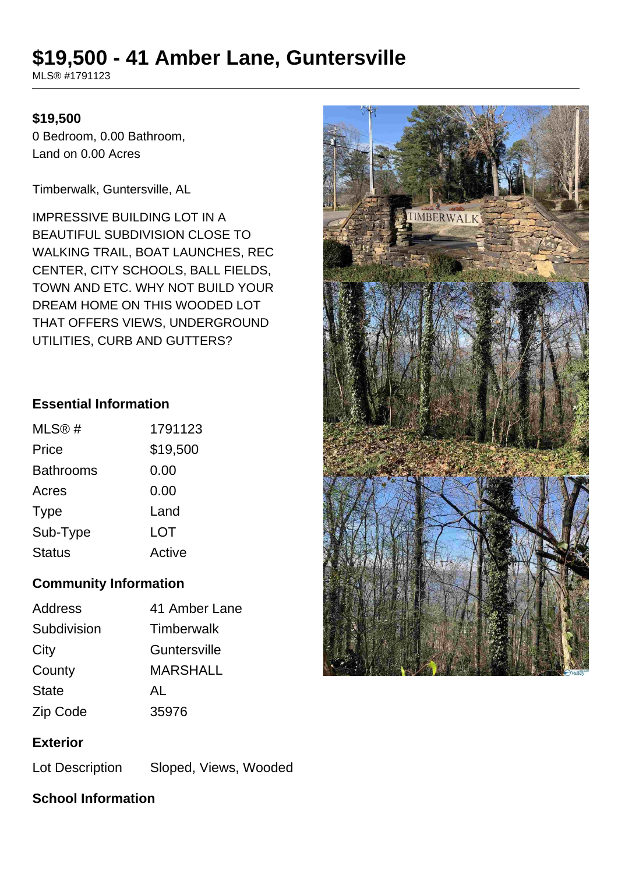# **\$19,500 - 41 Amber Lane, Guntersville**

MLS® #1791123

#### **\$19,500**

0 Bedroom, 0.00 Bathroom, Land on 0.00 Acres

Timberwalk, Guntersville, AL

IMPRESSIVE BUILDING LOT IN A BEAUTIFUL SUBDIVISION CLOSE TO WALKING TRAIL, BOAT LAUNCHES, REC CENTER, CITY SCHOOLS, BALL FIELDS, TOWN AND ETC. WHY NOT BUILD YOUR DREAM HOME ON THIS WOODED LOT THAT OFFERS VIEWS, UNDERGROUND UTILITIES, CURB AND GUTTERS?

#### **Essential Information**

| MLS@#            | 1791123  |
|------------------|----------|
| Price            | \$19,500 |
| <b>Bathrooms</b> | 0.00     |
| Acres            | 0.00     |
| <b>Type</b>      | Land     |
| Sub-Type         | LOT      |
| <b>Status</b>    | Active   |

#### **Community Information**

| <b>Address</b> | 41 Amber Lane     |
|----------------|-------------------|
| Subdivision    | <b>Timberwalk</b> |
| City           | Guntersville      |
| County         | MARSHALL          |
| <b>State</b>   | AL                |
| Zip Code       | 35976             |
|                |                   |

#### **Exterior**

Lot Description Sloped, Views, Wooded

## **School Information**